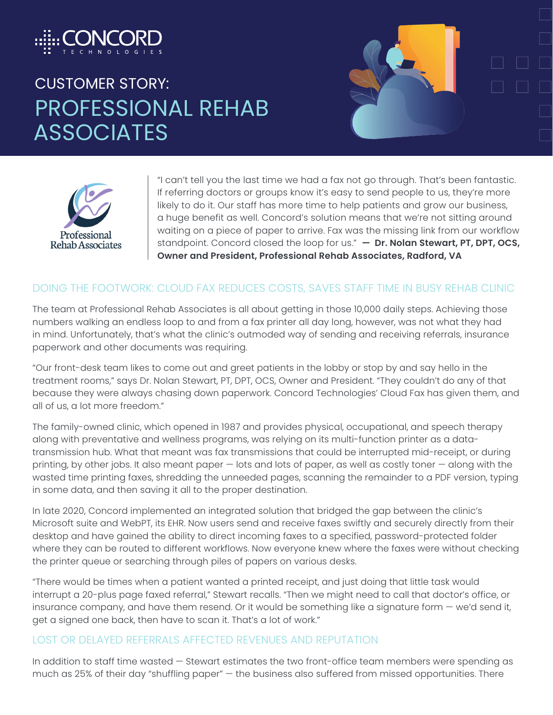

# CUSTOMER STORY: PROFESSIONAL REHAB **ASSOCIATES**





"I can't tell you the last time we had a fax not go through. That's been fantastic. If referring doctors or groups know it's easy to send people to us, they're more likely to do it. Our staff has more time to help patients and grow our business, a huge benefit as well. Concord's solution means that we're not sitting around waiting on a piece of paper to arrive. Fax was the missing link from our workflow standpoint. Concord closed the loop for us." **— Dr. Nolan Stewart, PT, DPT, OCS, Owner and President, Professional Rehab Associates, Radford, VA**

#### DOING THE FOOTWORK: CLOUD FAX REDUCES COSTS, SAVES STAFF TIME IN BUSY REHAB CLINIC

The team at Professional Rehab Associates is all about getting in those 10,000 daily steps. Achieving those numbers walking an endless loop to and from a fax printer all day long, however, was not what they had in mind. Unfortunately, that's what the clinic's outmoded way of sending and receiving referrals, insurance paperwork and other documents was requiring.

"Our front-desk team likes to come out and greet patients in the lobby or stop by and say hello in the treatment rooms," says Dr. Nolan Stewart, PT, DPT, OCS, Owner and President. "They couldn't do any of that because they were always chasing down paperwork. Concord Technologies' Cloud Fax has given them, and all of us, a lot more freedom."

The family-owned clinic, which opened in 1987 and provides physical, occupational, and speech therapy along with preventative and wellness programs, was relying on its multi-function printer as a datatransmission hub. What that meant was fax transmissions that could be interrupted mid-receipt, or during printing, by other jobs. It also meant paper — lots and lots of paper, as well as costly toner — along with the wasted time printing faxes, shredding the unneeded pages, scanning the remainder to a PDF version, typing in some data, and then saving it all to the proper destination.

In late 2020, Concord implemented an integrated solution that bridged the gap between the clinic's Microsoft suite and WebPT, its EHR. Now users send and receive faxes swiftly and securely directly from their desktop and have gained the ability to direct incoming faxes to a specified, password-protected folder where they can be routed to different workflows. Now everyone knew where the faxes were without checking the printer queue or searching through piles of papers on various desks.

"There would be times when a patient wanted a printed receipt, and just doing that little task would interrupt a 20-plus page faxed referral," Stewart recalls. "Then we might need to call that doctor's office, or insurance company, and have them resend. Or it would be something like a signature form — we'd send it, get a signed one back, then have to scan it. That's a lot of work."

#### LOST OR DELAYED REFERRALS AFFECTED REVENUES AND REPUTATION

In addition to staff time wasted — Stewart estimates the two front-office team members were spending as much as 25% of their day "shuffling paper" — the business also suffered from missed opportunities. There